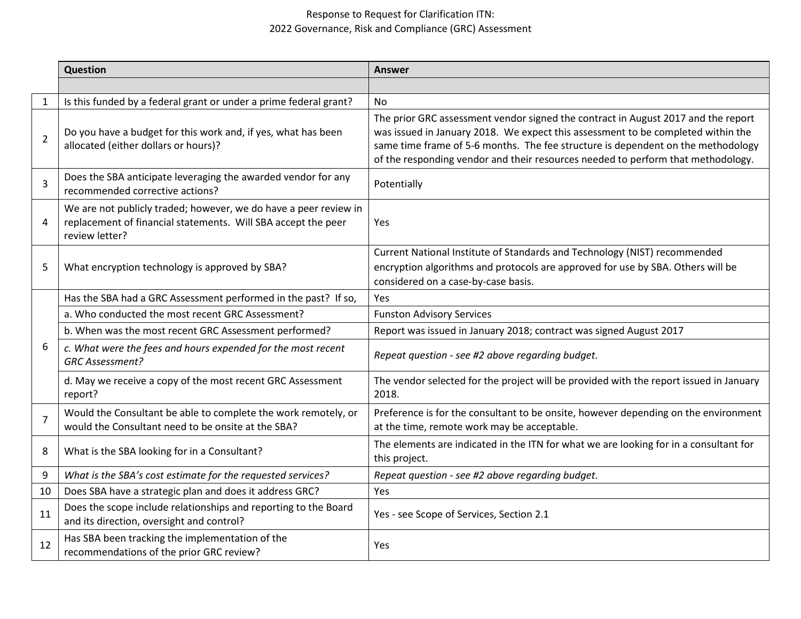## Response to Request for Clarification ITN: 2022 Governance, Risk and Compliance (GRC) Assessment

|                | <b>Question</b>                                                                                                                                     | <b>Answer</b>                                                                                                                                                                                                                                                                                                                                 |
|----------------|-----------------------------------------------------------------------------------------------------------------------------------------------------|-----------------------------------------------------------------------------------------------------------------------------------------------------------------------------------------------------------------------------------------------------------------------------------------------------------------------------------------------|
|                |                                                                                                                                                     |                                                                                                                                                                                                                                                                                                                                               |
| $\mathbf{1}$   | Is this funded by a federal grant or under a prime federal grant?                                                                                   | No.                                                                                                                                                                                                                                                                                                                                           |
| $\overline{2}$ | Do you have a budget for this work and, if yes, what has been<br>allocated (either dollars or hours)?                                               | The prior GRC assessment vendor signed the contract in August 2017 and the report<br>was issued in January 2018. We expect this assessment to be completed within the<br>same time frame of 5-6 months. The fee structure is dependent on the methodology<br>of the responding vendor and their resources needed to perform that methodology. |
| 3              | Does the SBA anticipate leveraging the awarded vendor for any<br>recommended corrective actions?                                                    | Potentially                                                                                                                                                                                                                                                                                                                                   |
| 4              | We are not publicly traded; however, we do have a peer review in<br>replacement of financial statements. Will SBA accept the peer<br>review letter? | Yes                                                                                                                                                                                                                                                                                                                                           |
| 5              | What encryption technology is approved by SBA?                                                                                                      | Current National Institute of Standards and Technology (NIST) recommended<br>encryption algorithms and protocols are approved for use by SBA. Others will be<br>considered on a case-by-case basis.                                                                                                                                           |
|                | Has the SBA had a GRC Assessment performed in the past? If so,                                                                                      | Yes                                                                                                                                                                                                                                                                                                                                           |
|                | a. Who conducted the most recent GRC Assessment?                                                                                                    | <b>Funston Advisory Services</b>                                                                                                                                                                                                                                                                                                              |
| 6              | b. When was the most recent GRC Assessment performed?                                                                                               | Report was issued in January 2018; contract was signed August 2017                                                                                                                                                                                                                                                                            |
|                | c. What were the fees and hours expended for the most recent<br><b>GRC Assessment?</b>                                                              | Repeat question - see #2 above regarding budget.                                                                                                                                                                                                                                                                                              |
|                | d. May we receive a copy of the most recent GRC Assessment<br>report?                                                                               | The vendor selected for the project will be provided with the report issued in January<br>2018.                                                                                                                                                                                                                                               |
| $\overline{7}$ | Would the Consultant be able to complete the work remotely, or<br>would the Consultant need to be onsite at the SBA?                                | Preference is for the consultant to be onsite, however depending on the environment<br>at the time, remote work may be acceptable.                                                                                                                                                                                                            |
| 8              | What is the SBA looking for in a Consultant?                                                                                                        | The elements are indicated in the ITN for what we are looking for in a consultant for<br>this project.                                                                                                                                                                                                                                        |
| 9              | What is the SBA's cost estimate for the requested services?                                                                                         | Repeat question - see #2 above regarding budget.                                                                                                                                                                                                                                                                                              |
| 10             | Does SBA have a strategic plan and does it address GRC?                                                                                             | Yes                                                                                                                                                                                                                                                                                                                                           |
| 11             | Does the scope include relationships and reporting to the Board<br>and its direction, oversight and control?                                        | Yes - see Scope of Services, Section 2.1                                                                                                                                                                                                                                                                                                      |
| 12             | Has SBA been tracking the implementation of the<br>recommendations of the prior GRC review?                                                         | Yes                                                                                                                                                                                                                                                                                                                                           |